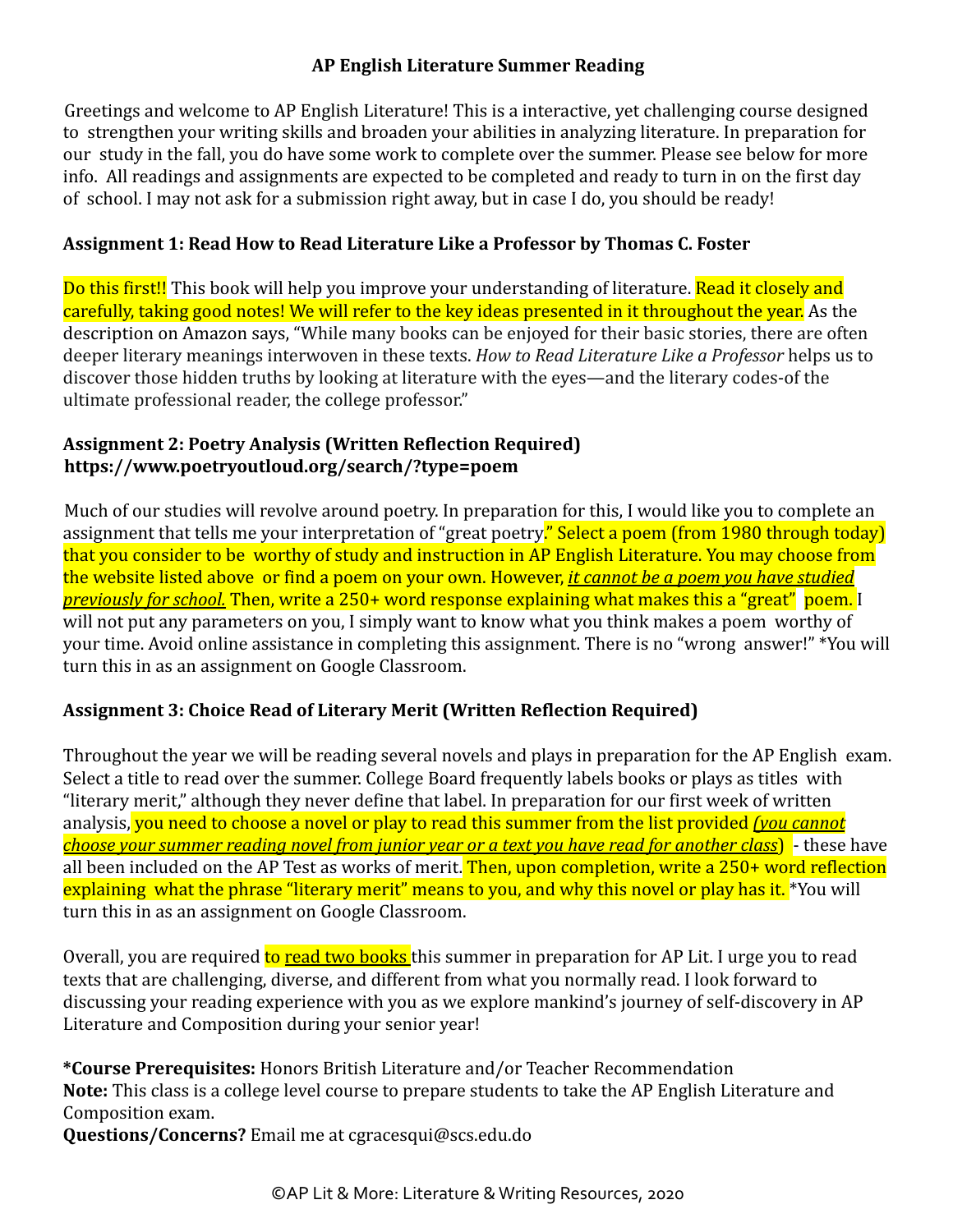### **AP English Literature Summer Reading**

Greetings and welcome to AP English Literature! This is a interactive, yet challenging course designed to strengthen your writing skills and broaden your abilities in analyzing literature. In preparation for our study in the fall, you do have some work to complete over the summer. Please see below for more info. All readings and assignments are expected to be completed and ready to turn in on the first day of school. I may not ask for a submission right away, but in case I do, you should be ready!

## **Assignment 1: Read How to Read Literature Like a Professor by Thomas C. Foster**

Do this first!! This book will help you improve your understanding of literature. Read it closely and carefully, taking good notes! We will refer to the key ideas presented in it throughout the year. As the description on Amazon says, "While many books can be enjoyed for their basic stories, there are often deeper literary meanings interwoven in these texts. *How to Read Literature Like a Professor* helps us to discover those hidden truths by looking at literature with the eyes—and the literary codes-of the ultimate professional reader, the college professor."

### **Assignment 2: Poetry Analysis (Written Reflection Required) https://www.poetryoutloud.org/search/?type=poem**

Much of our studies will revolve around poetry. In preparation for this, I would like you to complete an assignment that tells me your interpretation of "great poetry." Select a poem (from 1980 through today) that you consider to be worthy of study and instruction in AP English Literature. You may choose from the website listed above or find a poem on your own. However, *it cannot be a poem you have studied previously for school.* Then, write a 250+ word response explaining what makes this a "great" poem. I will not put any parameters on you, I simply want to know what you think makes a poem worthy of your time. Avoid online assistance in completing this assignment. There is no "wrong answer!" \*You will turn this in as an assignment on Google Classroom.

# **Assignment 3: Choice Read of Literary Merit (Written Reflection Required)**

Throughout the year we will be reading several novels and plays in preparation for the AP English exam. Select a title to read over the summer. College Board frequently labels books or plays as titles with "literary merit," although they never define that label. In preparation for our first week of written analysis, you need to choose a novel or play to read this summer from the list provided *(you cannot choose your summer reading novel from junior year or a text you have read for another class*) - these have all been included on the AP Test as works of merit. Then, upon completion, write a 250+ word reflection explaining what the phrase "literary merit" means to you, and why this novel or play has it. \*You will turn this in as an assignment on Google Classroom.

Overall, you are required to read two books this summer in preparation for AP Lit. I urge you to read texts that are challenging, diverse, and different from what you normally read. I look forward to discussing your reading experience with you as we explore mankind's journey of self-discovery in AP Literature and Composition during your senior year!

**\*Course Prerequisites:** Honors British Literature and/or Teacher Recommendation **Note:** This class is a college level course to prepare students to take the AP English Literature and Composition exam.

**Questions/Concerns?** Email me at cgracesqui@scs.edu.do